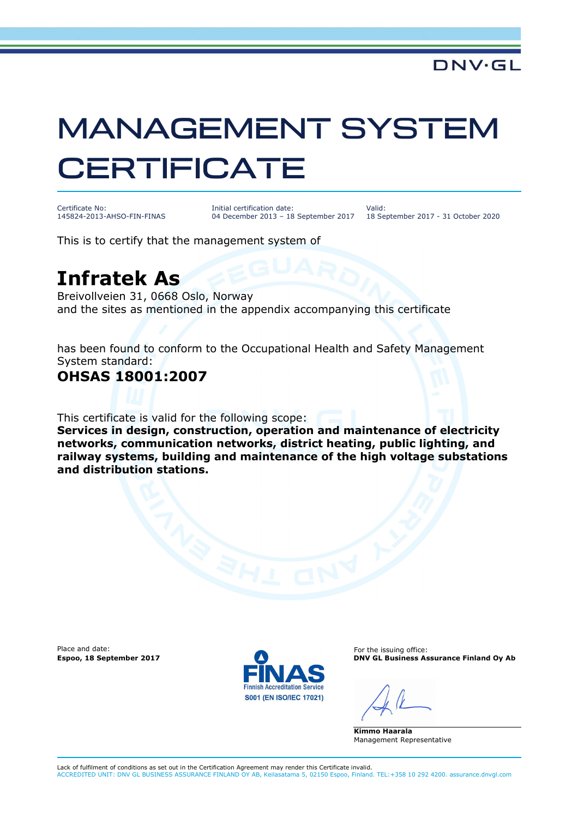# MANAGEMENT SYSTEM **CERTIFICATE**

Certificate No: 145824-2013-AHSO-FIN-FINAS Initial certification date: 04 December 2013 – 18 September 2017

Valid: 18 September 2017 - 31 October 2020

This is to certify that the management system of

## **Infratek As**

Breivollveien 31, 0668 Oslo, Norway and the sites as mentioned in the appendix accompanying this certificate

has been found to conform to the Occupational Health and Safety Management System standard:

### **OHSAS 18001:2007**

This certificate is valid for the following scope:

**Services in design, construction, operation and maintenance of electricity networks, communication networks, district heating, public lighting, and railway systems, building and maintenance of the high voltage substations and distribution stations.** 

Place and date:



For the issuing office: **Espoo, 18 September 2017 DNV GL Business Assurance Finland Oy Ab**

**Kimmo Haarala** Management Representative

Lack of fulfilment of conditions as set out in the Certification Agreement may render this Certificate invalid. ACCREDITED UNIT: DNV GL BUSINESS ASSURANCE FINLAND OY AB, Keilasatama 5, 02150 Espoo, Finland. TEL:+358 10 292 4200. assurance.dnvgl.com